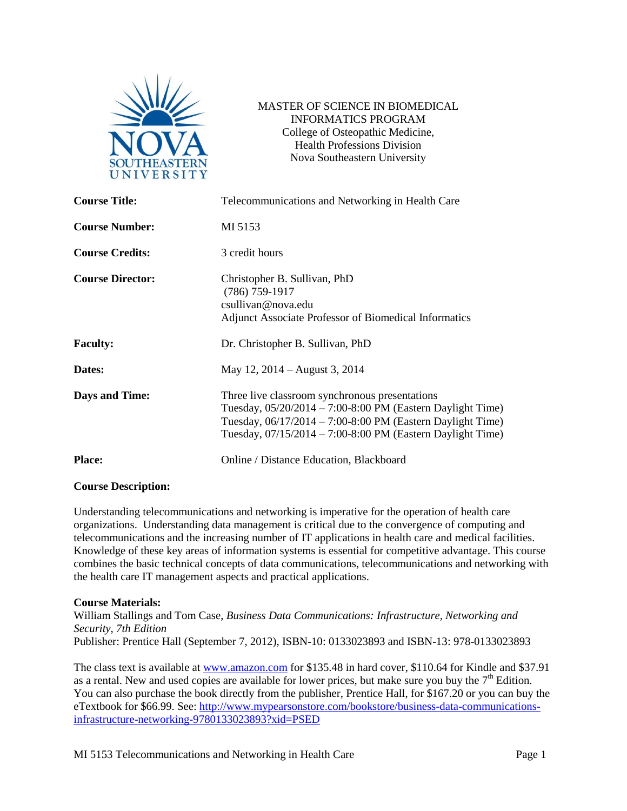

MASTER OF SCIENCE IN BIOMEDICAL INFORMATICS PROGRAM College of Osteopathic Medicine, Health Professions Division Nova Southeastern University

| <b>Course Title:</b>    | Telecommunications and Networking in Health Care                                                                                                                                                                                                                       |  |
|-------------------------|------------------------------------------------------------------------------------------------------------------------------------------------------------------------------------------------------------------------------------------------------------------------|--|
| <b>Course Number:</b>   | MI 5153                                                                                                                                                                                                                                                                |  |
| <b>Course Credits:</b>  | 3 credit hours                                                                                                                                                                                                                                                         |  |
| <b>Course Director:</b> | Christopher B. Sullivan, PhD<br>$(786)$ 759-1917<br>csullivan@nova.edu<br>Adjunct Associate Professor of Biomedical Informatics                                                                                                                                        |  |
| <b>Faculty:</b>         | Dr. Christopher B. Sullivan, PhD                                                                                                                                                                                                                                       |  |
| Dates:                  | May 12, 2014 – August 3, 2014                                                                                                                                                                                                                                          |  |
| <b>Days and Time:</b>   | Three live classroom synchronous presentations<br>Tuesday, $05/20/2014 - 7:00-8:00 \text{ PM}$ (Eastern Daylight Time)<br>Tuesday, $06/17/2014 - 7:00-8:00 \text{ PM}$ (Eastern Daylight Time)<br>Tuesday, $07/15/2014 - 7:00-8:00 \text{ PM}$ (Eastern Daylight Time) |  |
| <b>Place:</b>           | Online / Distance Education, Blackboard                                                                                                                                                                                                                                |  |

## **Course Description:**

Understanding telecommunications and networking is imperative for the operation of health care organizations. Understanding data management is critical due to the convergence of computing and telecommunications and the increasing number of IT applications in health care and medical facilities. Knowledge of these key areas of information systems is essential for competitive advantage. This course combines the basic technical concepts of data communications, telecommunications and networking with the health care IT management aspects and practical applications.

#### **Course Materials:**

William Stallings and Tom Case, *Business Data Communications: Infrastructure, Networking and Security, 7th Edition* Publisher: Prentice Hall (September 7, 2012), ISBN-10: 0133023893 and ISBN-13: 978-0133023893

The class text is available at [www.amazon.com](http://www.amazon.com/) for \$135.48 in hard cover, \$110.64 for Kindle and \$37.91 as a rental. New and used copies are available for lower prices, but make sure you buy the  $7<sup>th</sup>$  Edition. You can also purchase the book directly from the publisher, Prentice Hall, for \$167.20 or you can buy the eTextbook for \$66.99. See: [http://www.mypearsonstore.com/bookstore/business-data-communications](http://www.mypearsonstore.com/bookstore/business-data-communications-infrastructure-networking-9780133023893?xid=PSED)[infrastructure-networking-9780133023893?xid=PSED](http://www.mypearsonstore.com/bookstore/business-data-communications-infrastructure-networking-9780133023893?xid=PSED)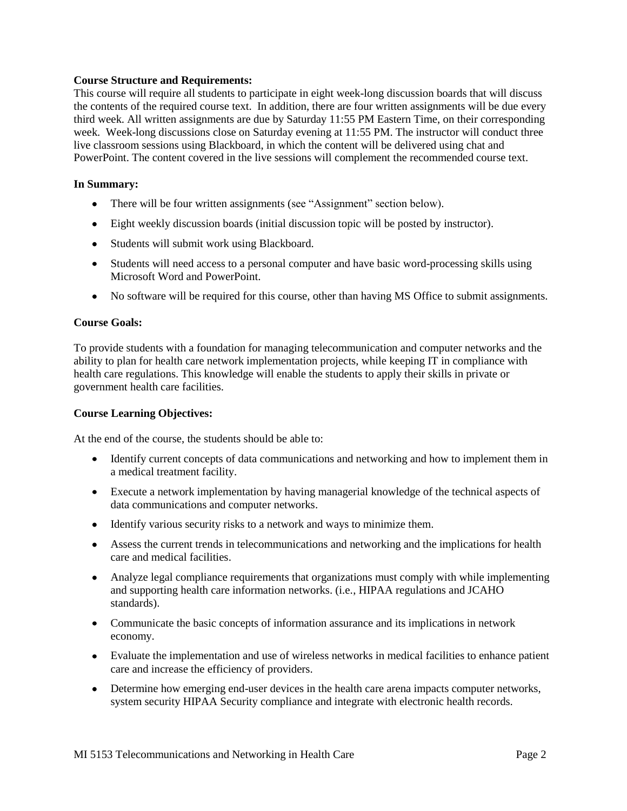## **Course Structure and Requirements:**

This course will require all students to participate in eight week-long discussion boards that will discuss the contents of the required course text. In addition, there are four written assignments will be due every third week. All written assignments are due by Saturday 11:55 PM Eastern Time, on their corresponding week. Week-long discussions close on Saturday evening at 11:55 PM. The instructor will conduct three live classroom sessions using Blackboard, in which the content will be delivered using chat and PowerPoint. The content covered in the live sessions will complement the recommended course text.

### **In Summary:**

- There will be four written assignments (see "Assignment" section below).
- Eight weekly discussion boards (initial discussion topic will be posted by instructor).
- Students will submit work using Blackboard.
- Students will need access to a personal computer and have basic word-processing skills using Microsoft Word and PowerPoint.
- No software will be required for this course, other than having MS Office to submit assignments.

## **Course Goals:**

To provide students with a foundation for managing telecommunication and computer networks and the ability to plan for health care network implementation projects, while keeping IT in compliance with health care regulations. This knowledge will enable the students to apply their skills in private or government health care facilities.

## **Course Learning Objectives:**

At the end of the course, the students should be able to:

- Identify current concepts of data communications and networking and how to implement them in a medical treatment facility.
- Execute a network implementation by having managerial knowledge of the technical aspects of data communications and computer networks.
- Identify various security risks to a network and ways to minimize them.
- Assess the current trends in telecommunications and networking and the implications for health care and medical facilities.
- Analyze legal compliance requirements that organizations must comply with while implementing and supporting health care information networks. (i.e., HIPAA regulations and JCAHO standards).
- Communicate the basic concepts of information assurance and its implications in network economy.
- Evaluate the implementation and use of wireless networks in medical facilities to enhance patient care and increase the efficiency of providers.
- Determine how emerging end-user devices in the health care arena impacts computer networks, system security HIPAA Security compliance and integrate with electronic health records.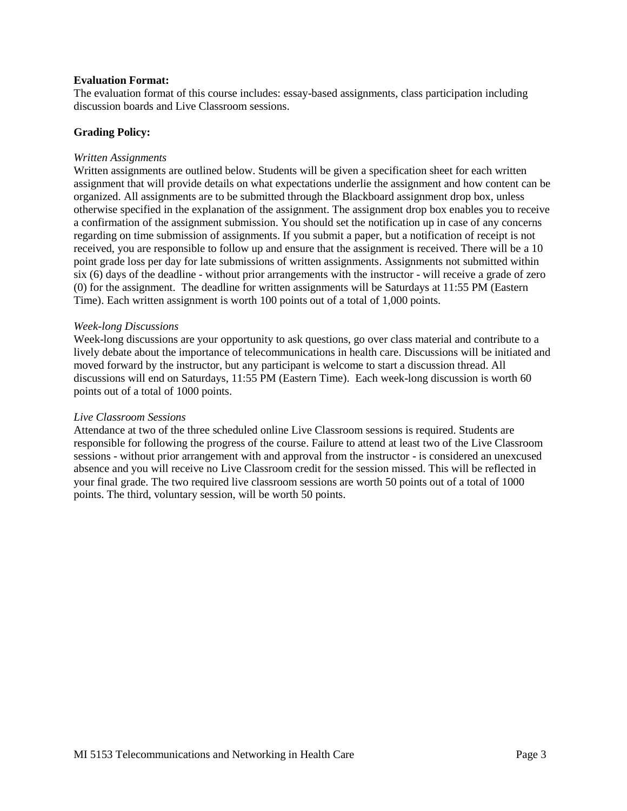## **Evaluation Format:**

The evaluation format of this course includes: essay-based assignments, class participation including discussion boards and Live Classroom sessions.

## **Grading Policy:**

#### *Written Assignments*

Written assignments are outlined below. Students will be given a specification sheet for each written assignment that will provide details on what expectations underlie the assignment and how content can be organized. All assignments are to be submitted through the Blackboard assignment drop box, unless otherwise specified in the explanation of the assignment. The assignment drop box enables you to receive a confirmation of the assignment submission. You should set the notification up in case of any concerns regarding on time submission of assignments. If you submit a paper, but a notification of receipt is not received, you are responsible to follow up and ensure that the assignment is received. There will be a 10 point grade loss per day for late submissions of written assignments. Assignments not submitted within six (6) days of the deadline - without prior arrangements with the instructor - will receive a grade of zero (0) for the assignment. The deadline for written assignments will be Saturdays at 11:55 PM (Eastern Time). Each written assignment is worth 100 points out of a total of 1,000 points.

#### *Week-long Discussions*

Week-long discussions are your opportunity to ask questions, go over class material and contribute to a lively debate about the importance of telecommunications in health care. Discussions will be initiated and moved forward by the instructor, but any participant is welcome to start a discussion thread. All discussions will end on Saturdays, 11:55 PM (Eastern Time). Each week-long discussion is worth 60 points out of a total of 1000 points.

### *Live Classroom Sessions*

Attendance at two of the three scheduled online Live Classroom sessions is required. Students are responsible for following the progress of the course. Failure to attend at least two of the Live Classroom sessions - without prior arrangement with and approval from the instructor - is considered an unexcused absence and you will receive no Live Classroom credit for the session missed. This will be reflected in your final grade. The two required live classroom sessions are worth 50 points out of a total of 1000 points. The third, voluntary session, will be worth 50 points.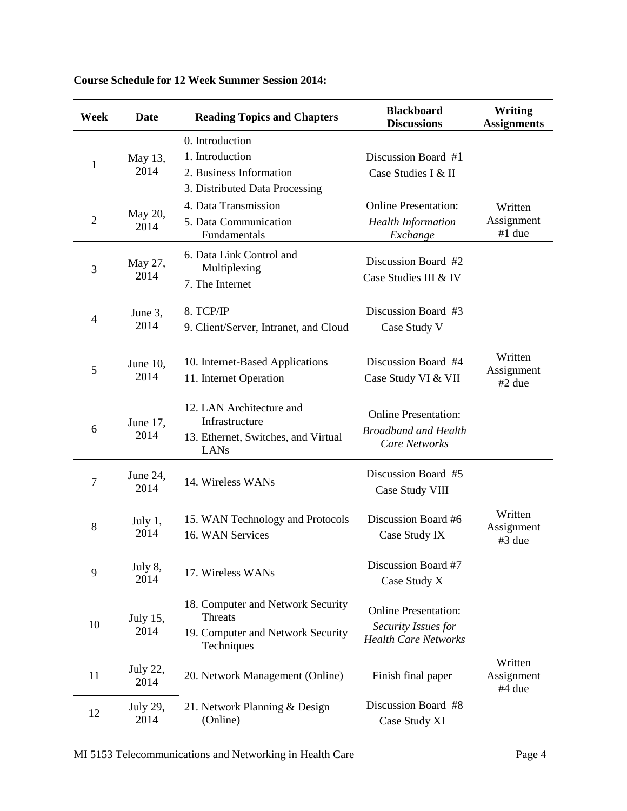| Week           | Date             | <b>Reading Topics and Chapters</b>                                                              | <b>Blackboard</b><br><b>Discussions</b>                                            | Writing<br><b>Assignments</b>   |
|----------------|------------------|-------------------------------------------------------------------------------------------------|------------------------------------------------------------------------------------|---------------------------------|
| 1              | May 13,<br>2014  | 0. Introduction<br>1. Introduction<br>2. Business Information<br>3. Distributed Data Processing | Discussion Board #1<br>Case Studies I & II                                         |                                 |
| $\overline{2}$ | May 20,<br>2014  | 4. Data Transmission<br>5. Data Communication<br>Fundamentals                                   | <b>Online Presentation:</b><br><b>Health Information</b><br>Exchange               | Written<br>Assignment<br>#1 due |
| 3              | May 27,<br>2014  | 6. Data Link Control and<br>Multiplexing<br>7. The Internet                                     | Discussion Board #2<br>Case Studies III & IV                                       |                                 |
| 4              | June 3,<br>2014  | 8. TCP/IP<br>9. Client/Server, Intranet, and Cloud                                              | Discussion Board #3<br>Case Study V                                                |                                 |
| 5              | June 10,<br>2014 | 10. Internet-Based Applications<br>11. Internet Operation                                       | Discussion Board #4<br>Case Study VI & VII                                         | Written<br>Assignment<br>#2 due |
| 6              | June 17,<br>2014 | 12. LAN Architecture and<br>Infrastructure<br>13. Ethernet, Switches, and Virtual<br>LANs       | <b>Online Presentation:</b><br><b>Broadband and Health</b><br><b>Care Networks</b> |                                 |
| 7              | June 24,<br>2014 | 14. Wireless WANs                                                                               | Discussion Board #5<br>Case Study VIII                                             |                                 |
| 8              | July 1,<br>2014  | 15. WAN Technology and Protocols<br>16. WAN Services                                            | Discussion Board #6<br>Case Study IX                                               | Written<br>Assignment<br>#3 due |
| 9              | July 8,<br>2014  | 17. Wireless WANs                                                                               | Discussion Board #7<br>Case Study X                                                |                                 |
| 10             | July 15,<br>2014 | 18. Computer and Network Security<br>Threats<br>19. Computer and Network Security<br>Techniques | <b>Online Presentation:</b><br>Security Issues for<br><b>Health Care Networks</b>  |                                 |
| 11             | July 22,<br>2014 | 20. Network Management (Online)                                                                 | Finish final paper                                                                 | Written<br>Assignment<br>#4 due |
| 12             | July 29,<br>2014 | 21. Network Planning & Design<br>(Online)                                                       | Discussion Board #8<br>Case Study XI                                               |                                 |

| <b>Course Schedule for 12 Week Summer Session 2014:</b> |
|---------------------------------------------------------|
|---------------------------------------------------------|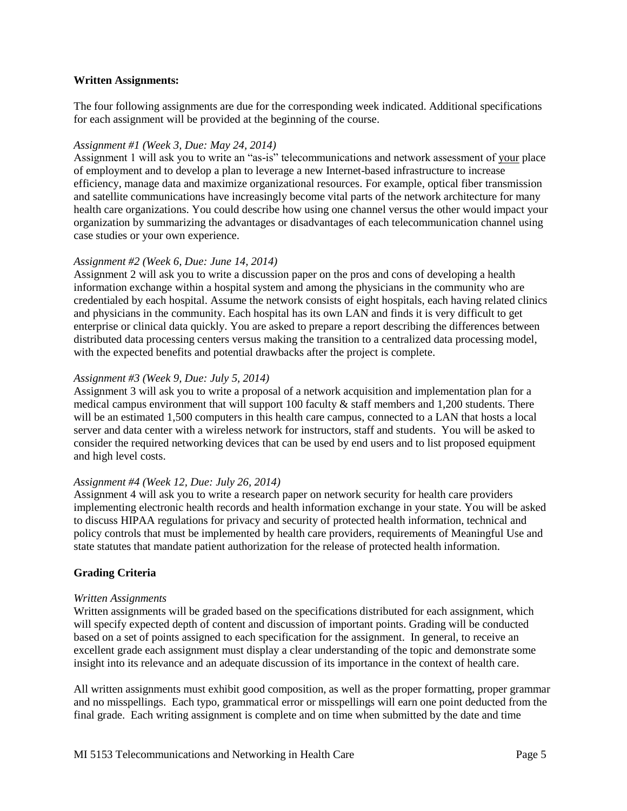## **Written Assignments:**

The four following assignments are due for the corresponding week indicated. Additional specifications for each assignment will be provided at the beginning of the course.

### *Assignment #1 (Week 3, Due: May 24, 2014)*

Assignment 1 will ask you to write an "as-is" telecommunications and network assessment of your place of employment and to develop a plan to leverage a new Internet-based infrastructure to increase efficiency, manage data and maximize organizational resources. For example, optical fiber transmission and satellite communications have increasingly become vital parts of the network architecture for many health care organizations. You could describe how using one channel versus the other would impact your organization by summarizing the advantages or disadvantages of each telecommunication channel using case studies or your own experience.

## *Assignment #2 (Week 6, Due: June 14, 2014)*

Assignment 2 will ask you to write a discussion paper on the pros and cons of developing a health information exchange within a hospital system and among the physicians in the community who are credentialed by each hospital. Assume the network consists of eight hospitals, each having related clinics and physicians in the community. Each hospital has its own LAN and finds it is very difficult to get enterprise or clinical data quickly. You are asked to prepare a report describing the differences between distributed data processing centers versus making the transition to a centralized data processing model, with the expected benefits and potential drawbacks after the project is complete.

## *Assignment #3 (Week 9, Due: July 5, 2014)*

Assignment 3 will ask you to write a proposal of a network acquisition and implementation plan for a medical campus environment that will support 100 faculty & staff members and 1,200 students. There will be an estimated 1,500 computers in this health care campus, connected to a LAN that hosts a local server and data center with a wireless network for instructors, staff and students. You will be asked to consider the required networking devices that can be used by end users and to list proposed equipment and high level costs.

#### *Assignment #4 (Week 12, Due: July 26, 2014)*

Assignment 4 will ask you to write a research paper on network security for health care providers implementing electronic health records and health information exchange in your state. You will be asked to discuss HIPAA regulations for privacy and security of protected health information, technical and policy controls that must be implemented by health care providers, requirements of Meaningful Use and state statutes that mandate patient authorization for the release of protected health information.

## **Grading Criteria**

#### *Written Assignments*

Written assignments will be graded based on the specifications distributed for each assignment, which will specify expected depth of content and discussion of important points. Grading will be conducted based on a set of points assigned to each specification for the assignment. In general, to receive an excellent grade each assignment must display a clear understanding of the topic and demonstrate some insight into its relevance and an adequate discussion of its importance in the context of health care.

All written assignments must exhibit good composition, as well as the proper formatting, proper grammar and no misspellings. Each typo, grammatical error or misspellings will earn one point deducted from the final grade. Each writing assignment is complete and on time when submitted by the date and time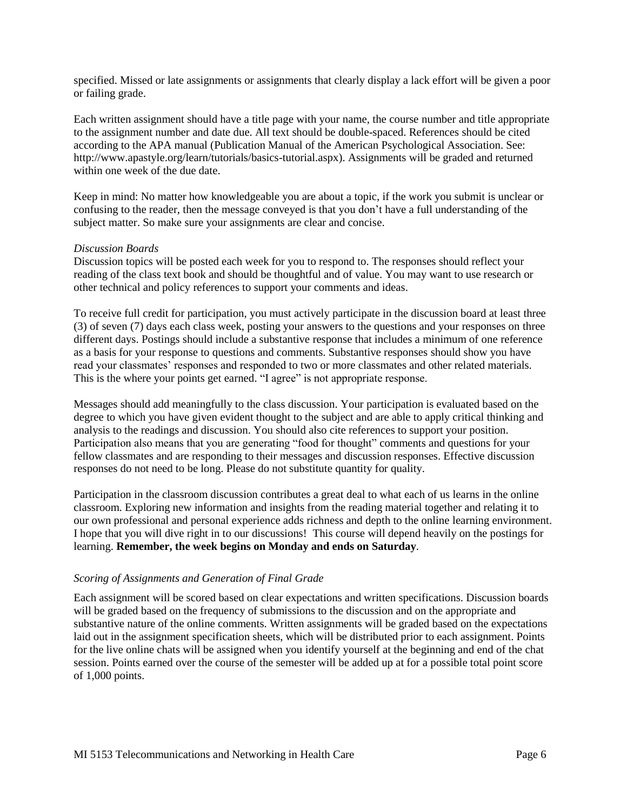specified. Missed or late assignments or assignments that clearly display a lack effort will be given a poor or failing grade.

Each written assignment should have a title page with your name, the course number and title appropriate to the assignment number and date due. All text should be double-spaced. References should be cited according to the APA manual (Publication Manual of the American Psychological Association. See: [http://www.apastyle.org/learn/tutorials/basics-tutorial.aspx\)](http://www.apastyle.org/learn/tutorials/basics-tutorial.aspx). Assignments will be graded and returned within one week of the due date.

Keep in mind: No matter how knowledgeable you are about a topic, if the work you submit is unclear or confusing to the reader, then the message conveyed is that you don't have a full understanding of the subject matter. So make sure your assignments are clear and concise.

## *Discussion Boards*

Discussion topics will be posted each week for you to respond to. The responses should reflect your reading of the class text book and should be thoughtful and of value. You may want to use research or other technical and policy references to support your comments and ideas.

To receive full credit for participation, you must actively participate in the discussion board at least three (3) of seven (7) days each class week, posting your answers to the questions and your responses on three different days. Postings should include a substantive response that includes a minimum of one reference as a basis for your response to questions and comments. Substantive responses should show you have read your classmates' responses and responded to two or more classmates and other related materials. This is the where your points get earned. "I agree" is not appropriate response.

Messages should add meaningfully to the class discussion. Your participation is evaluated based on the degree to which you have given evident thought to the subject and are able to apply critical thinking and analysis to the readings and discussion. You should also cite references to support your position. Participation also means that you are generating "food for thought" comments and questions for your fellow classmates and are responding to their messages and discussion responses. Effective discussion responses do not need to be long. Please do not substitute quantity for quality.

Participation in the classroom discussion contributes a great deal to what each of us learns in the online classroom. Exploring new information and insights from the reading material together and relating it to our own professional and personal experience adds richness and depth to the online learning environment. I hope that you will dive right in to our discussions! This course will depend heavily on the postings for learning. **Remember, the week begins on Monday and ends on Saturday**.

## *Scoring of Assignments and Generation of Final Grade*

Each assignment will be scored based on clear expectations and written specifications. Discussion boards will be graded based on the frequency of submissions to the discussion and on the appropriate and substantive nature of the online comments. Written assignments will be graded based on the expectations laid out in the assignment specification sheets, which will be distributed prior to each assignment. Points for the live online chats will be assigned when you identify yourself at the beginning and end of the chat session. Points earned over the course of the semester will be added up at for a possible total point score of 1,000 points.